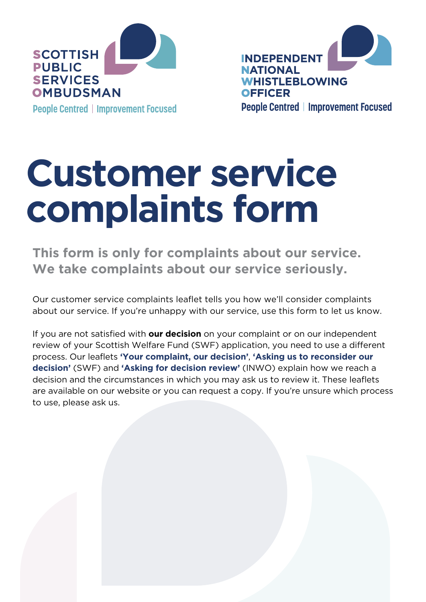

**INDEPENDENT NATIONAL WHISTLEBLOWING OFFICER People Centred | Improvement Focused** 

# **Customer service complaints form**

**This form is only for complaints about our service. We take complaints about our service seriously.**

Our customer service complaints leaflet tells you how we'll consider complaints about our service. If you're unhappy with our service, use this form to let us know.

If you are not satisfied with **our decision** on your complaint or on our independent review of your Scottish Welfare Fund (SWF) application, you need to use a different process. Our leaflets **['Your complaint, our decision'](https://www.spso.org.uk/sites/spso/files/communications_material/leaflets_public/general/190329YourComplaintOurDecisionLeaflet.pdf)**, **['Asking us to reconsider our](https://www.spso.org.uk/scottishwelfarefund/sites/scottishwelfarefund/files/2018SWF%20Reconsideration%20Info%20Leaflet.pdf)  [decision'](https://www.spso.org.uk/scottishwelfarefund/sites/scottishwelfarefund/files/2018SWF%20Reconsideration%20Info%20Leaflet.pdf)** (SWF) and **['Asking for decision review'](https://inwo.spso.org.uk/sites/inwo/files/Leaflets/INWOReviewLeaflet.pdf)** (INWO) explain how we reach a decision and the circumstances in which you may ask us to review it. These leaflets are available on our website or you can request a copy. If you're unsure which process to use, please ask us.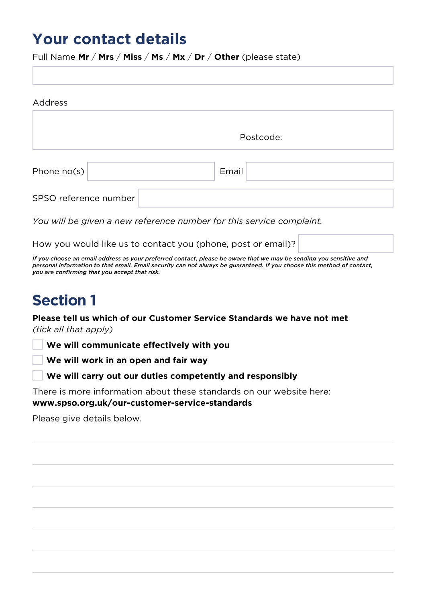#### **Your contact details**

Full Name **Mr** / **Mrs** / **Miss** / **Ms** / **Mx** / **Dr** / **Other** (please state)

| Address               |           |
|-----------------------|-----------|
|                       | Postcode: |
| Phone $no(s)$         | Email     |
| SPSO reference number |           |

*You will be given a new reference number for this service complaint.* 

How you would like us to contact you (phone, post or email)?

*If you choose an email address as your preferred contact, please be aware that we may be sending you sensitive and personal information to that email. Email security can not always be guaranteed. If you choose this method of contact, you are confirming that you accept that risk.* 

## **Section 1**

**Please tell us which of our Customer Service Standards we have not met**  *(tick all that apply)*

**We will communicate effectively with you**

**We will work in an open and fair way**

**We will carry out our duties competently and responsibly**

There is more information about these standards on our website here: **[www.spso.org.uk/our-customer-service-standards](http://www.spso.org.uk/our-customer-service-standards)**

Please give details below.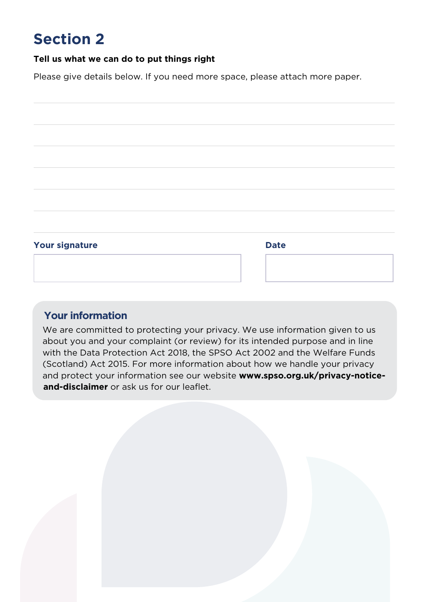## **Section 2**

#### **Tell us what we can do to put things right**

Please give details below. If you need more space, please attach more paper.



#### **Your information**

We are committed to protecting your privacy. We use information given to us about you and your complaint (or review) for its intended purpose and in line with the Data Protection Act 2018, the SPSO Act 2002 and the Welfare Funds (Scotland) Act 2015. For more information about how we handle your privacy and protect your information see our website **[www.spso.org.uk/privacy-notice](http://www.spso.org.uk/privacy-notice-and-disclaimer)[and-disclaimer](http://www.spso.org.uk/privacy-notice-and-disclaimer)** or ask us for our leaflet.